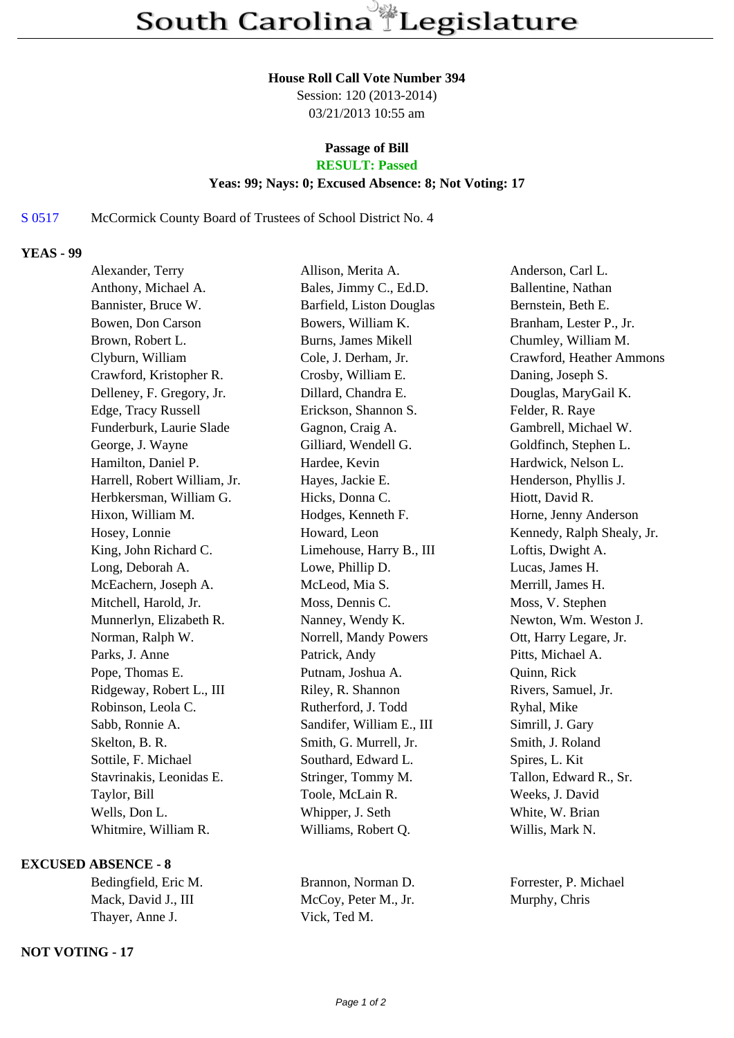#### **House Roll Call Vote Number 394**

Session: 120 (2013-2014) 03/21/2013 10:55 am

# **Passage of Bill**

### **RESULT: Passed**

### **Yeas: 99; Nays: 0; Excused Absence: 8; Not Voting: 17**

## S 0517 McCormick County Board of Trustees of School District No. 4

### **YEAS - 99**

| Alexander, Terry             | Allison, Merita A.        | Anderson, Carl L.          |
|------------------------------|---------------------------|----------------------------|
| Anthony, Michael A.          | Bales, Jimmy C., Ed.D.    | Ballentine, Nathan         |
| Bannister, Bruce W.          | Barfield, Liston Douglas  | Bernstein, Beth E.         |
| Bowen, Don Carson            | Bowers, William K.        | Branham, Lester P., Jr.    |
| Brown, Robert L.             | Burns, James Mikell       | Chumley, William M.        |
| Clyburn, William             | Cole, J. Derham, Jr.      | Crawford, Heather Ammons   |
| Crawford, Kristopher R.      | Crosby, William E.        | Daning, Joseph S.          |
| Delleney, F. Gregory, Jr.    | Dillard, Chandra E.       | Douglas, MaryGail K.       |
| Edge, Tracy Russell          | Erickson, Shannon S.      | Felder, R. Raye            |
| Funderburk, Laurie Slade     | Gagnon, Craig A.          | Gambrell, Michael W.       |
| George, J. Wayne             | Gilliard, Wendell G.      | Goldfinch, Stephen L.      |
| Hamilton, Daniel P.          | Hardee, Kevin             | Hardwick, Nelson L.        |
| Harrell, Robert William, Jr. | Hayes, Jackie E.          | Henderson, Phyllis J.      |
| Herbkersman, William G.      | Hicks, Donna C.           | Hiott, David R.            |
| Hixon, William M.            | Hodges, Kenneth F.        | Horne, Jenny Anderson      |
| Hosey, Lonnie                | Howard, Leon              | Kennedy, Ralph Shealy, Jr. |
| King, John Richard C.        | Limehouse, Harry B., III  | Loftis, Dwight A.          |
| Long, Deborah A.             | Lowe, Phillip D.          | Lucas, James H.            |
| McEachern, Joseph A.         | McLeod, Mia S.            | Merrill, James H.          |
| Mitchell, Harold, Jr.        | Moss, Dennis C.           | Moss, V. Stephen           |
| Munnerlyn, Elizabeth R.      | Nanney, Wendy K.          | Newton, Wm. Weston J.      |
| Norman, Ralph W.             | Norrell, Mandy Powers     | Ott, Harry Legare, Jr.     |
| Parks, J. Anne               | Patrick, Andy             | Pitts, Michael A.          |
| Pope, Thomas E.              | Putnam, Joshua A.         | Quinn, Rick                |
| Ridgeway, Robert L., III     | Riley, R. Shannon         | Rivers, Samuel, Jr.        |
| Robinson, Leola C.           | Rutherford, J. Todd       | Ryhal, Mike                |
| Sabb, Ronnie A.              | Sandifer, William E., III | Simrill, J. Gary           |
| Skelton, B. R.               | Smith, G. Murrell, Jr.    | Smith, J. Roland           |
| Sottile, F. Michael          | Southard, Edward L.       | Spires, L. Kit             |
| Stavrinakis, Leonidas E.     | Stringer, Tommy M.        | Tallon, Edward R., Sr.     |
| Taylor, Bill                 | Toole, McLain R.          | Weeks, J. David            |
| Wells, Don L.                | Whipper, J. Seth          | White, W. Brian            |
| Whitmire, William R.         | Williams, Robert Q.       | Willis, Mark N.            |
|                              |                           |                            |

### **EXCUSED ABSENCE - 8**

| Brannon, Nor |
|--------------|
| McCoy, Peter |
| Vick, Ted M. |
|              |

### **NOT VOTING - 17**

Peter M., Jr. Murphy, Chris

A., Norman D. Forrester, P. Michael